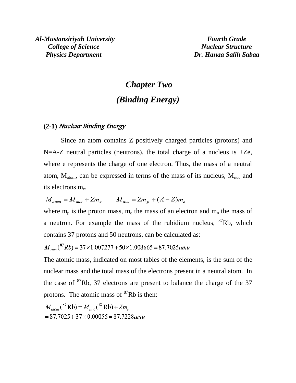# *Chapter Two (Binding Energy)*

### **(2-1)** Nuclear Binding Energy

Since an atom contains Z positively charged particles (protons) and  $N=A-Z$  neutral particles (neutrons), the total charge of a nucleus is  $+Ze$ , where e represents the charge of one electron. Thus, the mass of a neutral atom,  $M_{atom}$ , can be expressed in terms of the mass of its nucleus,  $M_{nuc}$  and its electrons m<sub>e</sub>.

 $M_{atom} = M_{nuc} + Zm_e$   $M_{nuc} = Zm_n + (A - Z)m_n$ 

where  $m_p$  is the proton mass,  $m_e$  the mass of an electron and  $m_n$  the mass of a neutron. For example the mass of the rubidium nucleus, <sup>87</sup>Rb, which contains 37 protons and 50 neutrons, can be calculated as:

 $M_{nuc}$  (<sup>87</sup>Rb) = 37×1.007277 + 50×1.008665 = 87.7025amu

The atomic mass, indicated on most tables of the elements, is the sum of the nuclear mass and the total mass of the electrons present in a neutral atom. In the case of  ${}^{87}$ Rb, 37 electrons are present to balance the charge of the 37 protons. The atomic mass of  ${}^{87}Rb$  is then:

 $M_{atom}({}^{87}\text{Rb}) = M_{nuc}({}^{87}\text{Rb}) + Zm_e$  $= 87.7025 + 37 \times 0.00055 = 87.7228$ amu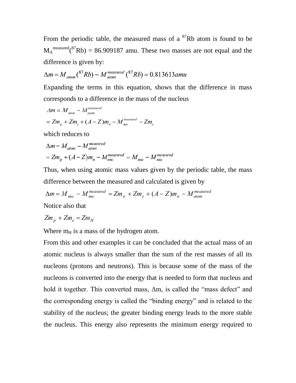From the periodic table, the measured mass of a  ${}^{87}Rb$  atom is found to be  $M_A^{\text{measured}}({}^{87}Rb) = 86.909187$  amu. These two masses are not equal and the difference is given by:

$$
\Delta m = M_{atom}({}^{87}Rb) - M_{atom}^{measured}({}^{87}Rb) = 0.813613amu
$$

Expanding the terms in this equation, shows that the difference in mass corresponds to a difference in the mass of the nucleus

$$
\Delta m = M_{atom} - M_{atom}^{measured}
$$
  
=  $Zm_p + Zm_e + (A - Z)m_n - M_{mac}^{measured} - Zm_e$ 

which reduces to

$$
\Delta m = M_{atom} - M_{atom}^{measured}
$$
  
=  $Zm_p + (A - Z)m_n - M_{nuc}^{measured} = M_{nuc} - M_{nuc}^{measured}$ 

Thus, when using atomic mass values given by the periodic table, the mass difference between the measured and calculated is given by

$$
\Delta m = M_{\text{muc}} - M_{\text{muc}}^{\text{measured}} = Zm_{\text{p}} + Zm_{\text{e}} + (A - Z)m_{\text{n}} - M_{\text{atom}}^{\text{measured}}
$$

Notice also that

$$
Zm_p + Zm_e = Zm_H
$$

Where  $m_H$  is a mass of the hydrogen atom.

From this and other examples it can be concluded that the actual mass of an atomic nucleus is always smaller than the sum of the rest masses of all its nucleons (protons and neutrons). This is because some of the mass of the nucleons is converted into the energy that is needed to form that nucleus and hold it together. This converted mass, Δm, is called the "mass defect" and the corresponding energy is called the "binding energy" and is related to the stability of the nucleus; the greater binding energy leads to the more stable the nucleus. This energy also represents the minimum energy required to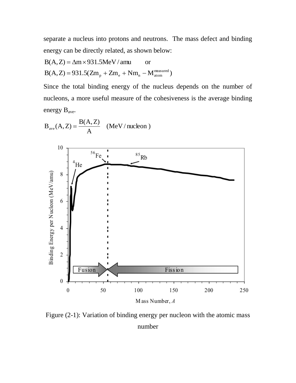separate a nucleus into protons and neutrons. The mass defect and binding energy can be directly related, as shown below:

$$
B(A, Z) = \Delta m \times 931.5 MeV / amu \qquad or
$$
  

$$
B(A, Z) = 931.5(Zm_p + Zm_e + Nm_n - M_{atom}^{measured})
$$

Since the total binding energy of the nucleus depends on the number of nucleons, a more useful measure of the cohesiveness is the average binding energy Bave.

$$
B_{ave}(A, Z) = \frac{B(A, Z)}{A}
$$
 (MeV/nucleon)



Figure (2-1): Variation of binding energy per nucleon with the atomic mass number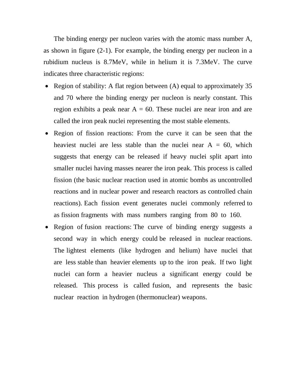The binding energy per nucleon varies with the atomic mass number A, as shown in figure (2-1). For example, the binding energy per nucleon in a rubidium nucleus is 8.7MeV, while in helium it is 7.3MeV. The curve indicates three characteristic regions:

- Region of stability: A flat region between  $(A)$  equal to approximately 35 and 70 where the binding energy per nucleon is nearly constant. This region exhibits a peak near  $A = 60$ . These nuclei are near iron and are called the iron peak nuclei representing the most stable elements.
- Region of fission reactions: From the curve it can be seen that the heaviest nuclei are less stable than the nuclei near  $A = 60$ , which suggests that energy can be released if heavy nuclei split apart into smaller nuclei having masses nearer the iron peak. This process is called fission (the basic nuclear reaction used in atomic bombs as uncontrolled reactions and in nuclear power and research reactors as controlled chain reactions). Each fission event generates nuclei commonly referred to as fission fragments with mass numbers ranging from 80 to 160.
- Region of fusion reactions: The curve of binding energy suggests a second way in which energy could be released in nuclear reactions. The lightest elements (like hydrogen and helium) have nuclei that are less stable than heavier elements up to the iron peak. If two light nuclei can form a heavier nucleus a significant energy could be released. This process is called fusion, and represents the basic nuclear reaction in hydrogen (thermonuclear) weapons.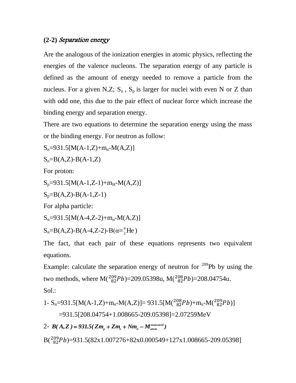## **(2-2)** Separation energy

Are the analogous of the ionization energies in atomic physics, reflecting the energies of the valence nucleons. The separation energy of any particle is defined as the amount of energy needed to remove a particle from the nucleus. For a given N,Z;  $S_n$ ,  $S_p$  is larger for nuclei with even N or Z than with odd one, this due to the pair effect of nuclear force which increase the binding energy and separation energy.

There are two equations to determine the separation energy using the mass or the binding energy. For neutron as follow:

 $S_n=931.5[M(A-1,Z)+m_n-M(A,Z)]$ 

$$
S_n = B(A,Z) - B(A-1,Z)
$$

For proton:

 $S_p = 931.5[M(A-1,Z-1)+m_H-M(A,Z)]$ 

$$
S_p = B(A,Z) - B(A-1,Z-1)
$$

For alpha particle:

$$
S_{\alpha} = 931.5[M(A-4,Z-2)+m_{\alpha}-M(A,Z)]
$$

 $S_{\alpha} = B(A,Z) - B(A-4,Z-2) - B(\alpha = \frac{4}{2}He)$ 

The fact, that each pair of these equations represents two equivalent equations.

Example: calculate the separation energy of neutron for  $209$ Pb by using the two methods, where  $M(^{209}_{82}Pb) = 209.05398u$ ,  $M(^{208}_{82}Pb) = 208.04754u$ . Sol.:

1- S<sub>n</sub>=931.5[M(A-1,Z)+m<sub>n</sub>-M(A,Z)]=931.5[M(
$$
^{208}_{82}Pb
$$
)+m<sub>n</sub>-M( $^{209}_{82}Pb$ )]  
=931.5[208.04754+1.008665-209.05398]=2.07259MeV

2-  $B(A, Z) = 931.5(Zm_p + Zm_e + Nm_n - M_{atom}^{measured})$ 

 $B(^{209}_{82}Pb) = 931.5(82x1.007276+82x0.000549+127x1.008665-209.05398]$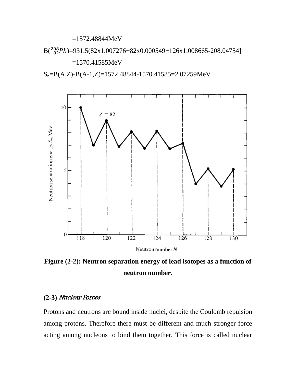=1572.48844MeV

 $B({}^{208}_{82}Pb)$ =931.5(82x1.007276+82x0.000549+126x1.008665-208.04754]

=1570.41585MeV

Sn=B(A,Z)-B(A-1,Z)=1572.48844-1570.41585=2.07259MeV



**Figure (2-2): Neutron separation energy of lead isotopes as a function of neutron number.**

# **(2-3)** Nuclear Forces

Protons and neutrons are bound inside nuclei, despite the Coulomb repulsion among protons. Therefore there must be different and much stronger force acting among nucleons to bind them together. This force is called nuclear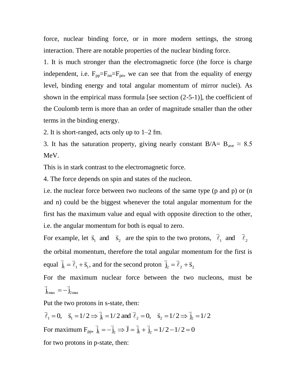force, nuclear binding force, or in more modern settings, the strong interaction. There are notable properties of the nuclear binding force.

1. It is much stronger than the electromagnetic force (the force is charge independent, i.e.  $F_{pp} = F_{nn} = F_{pn}$ , we can see that from the equality of energy level, binding energy and total angular momentum of mirror nuclei). As shown in the empirical mass formula [see section (2-5-1)], the coefficient of the Coulomb term is more than an order of magnitude smaller than the other terms in the binding energy.

2. It is short-ranged, acts only up to 1–2 fm.

3. It has the saturation property, giving nearly constant  $B/A=$   $B_{ave} \approx 8.5$ MeV.

This is in stark contrast to the electromagnetic force.

4. The force depends on spin and states of the nucleon.

i.e. the nuclear force between two nucleons of the same type (p and p) or (n and n) could be the biggest whenever the total angular momentum for the first has the maximum value and equal with opposite direction to the other, i.e. the angular momentum for both is equal to zero.

For example, let  $\vec{s}_1$  and  $\vec{s}_2$  $\vec{s}_1$  and  $\vec{s}_2$  are the spin to the two protons,  $\vec{\ell}_1$  and  $\vec{\ell}_2$  $\overline{a}$  $\overline{\ell}$  $\overline{\phantom{a}}$ the orbital momentum, therefore the total angular momentum for the first is equal  $\overline{j}_1 = \overline{\ell}_1 + \overline{s}_1$  $\frac{1}{2}$  $\overline{\ell}$  $\div$   $\div$  $=\vec{\ell}_1 + \vec{s}_1$ , and for the second proton  $\vec{j}_2 = \vec{\ell}_2 + \vec{s}_2$  $\frac{1}{2}$  $\vec{\ell}$  $\frac{1}{2}$   $\frac{1}{2}$  $=\overline{\ell}_2 +$ 

For the maximum nuclear force between the two nucleons, must be  $\overline{\mathbf{j}}_{\rm 1\,max}\,=-\overline{\mathbf{j}}_{\rm 2\,max}$  $\frac{1}{2}$   $\frac{1}{2}$  $=-$ 

Put the two protons in s-state, then:

 $\vec{B}_1 = 0$ ,  $\vec{S}_1 = 1/2 \implies \vec{j}_1 = 1/2$  and  $\vec{\ell}_2 = 0$ ,  $\vec{S}_2 = 1/2 \implies \vec{j}_2 = 1/2$  $\vec{r}$   $1/2 \rightarrow \vec{r}$  $\overline{\ell}$  $\vec{a}$  = 1/2  $\rightarrow \vec{i}$  = 1/2 and  $\vec{a}$  $\overline{\ell}$  $\rightarrow$ For maximum  $F_{pp}$ ,  $\vec{j}_1 = -\vec{j}_2 \implies \vec{J} = \vec{j}_1 + \vec{j}_2 = 1/2 - 1/2 = 0$  for two protons in p-state, then: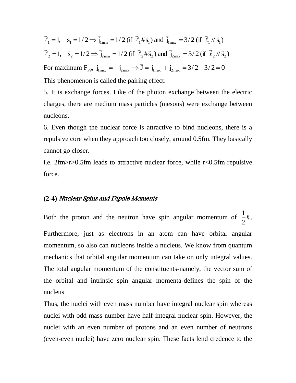$\vec{B}_1 = 1$ ,  $\vec{B}_1 = 1/2 \implies \vec{j}_{1\text{min}} = 1/2$  (if  $\vec{\ell}_1 \neq \vec{B}_1$ ) and  $\vec{j}_{1\text{max}} = 3/2$  (if  $\vec{\ell}_1 / \vec{B}_1$ )  $\frac{1}{2}$  $\overline{\ell}$  $\vec{a}$  and  $\vec{i}$  2/2 (if  $\vec{a}$  $\overline{\ell}$  $\vec{a}$  = 1/2  $\vec{a}$  = 1/2  $G$  $\overline{\ell}$  $\rightarrow$  $=1, \quad \bar{s}_1 = 1/2 \implies \bar{j}_{\text{min}} = 1/2 \text{ (if } \bar{\ell}_1 \# \bar{s}_1 \text{) and } \bar{j}_{\text{max}} =$  $\overline{\mathbf{I}}_2 = 1$ ,  $\overline{\mathbf{S}}_2 = 1/2 \Rightarrow \overline{\mathbf{I}}_{2\min} = 1/2$  (if  $\overline{\ell}_2 \# \overline{\mathbf{S}}_2$ ) and  $\overline{\mathbf{I}}_{2\max} = 3/2$  (if  $\overline{\ell}_2 / \overline{\mathbf{S}}_2$ )  $\frac{1}{2}$  $\vec{\ell}$  $\vec{a}$  and  $\vec{i}$  = 2/2(if  $\vec{a}$  $\vec{\ell}$  $\vec{a}$  = 1/2  $\vec{a}$  = 1/2  $\vec{a}$  = 1/2  $\vec{a}$  =  $\vec{b}$  $\overline{\ell}$  $\rightarrow$  $=1$ ,  $\bar{s}_2 = 1/2 \implies \bar{j}_{min} = 1/2$  (if  $\bar{\ell}_2 \# \bar{s}_2$ ) and  $\bar{j}_{max} =$ For maximum  $F_{pp}$ ,  $\vec{j}_{1max} = -\vec{j}_{2max} \implies \vec{J} = \vec{j}_{1max} + \vec{j}_{2max} = 3/2 - 3/2 = 0$  $\vec{r}$  ,  $\vec{r}$  ,  $\vec{r}$  ,  $\vec{r}$ This phenomenon is called the pairing effect.

5. It is exchange forces. Like of the photon exchange between the electric charges, there are medium mass particles (mesons) were exchange between nucleons.

6. Even though the nuclear force is attractive to bind nucleons, there is a repulsive core when they approach too closely, around 0.5fm. They basically cannot go closer.

i.e. 2fm>r>0.5fm leads to attractive nuclear force, while r<0.5fm repulsive force.

## **(2-4)** Nuclear Spins and Dipole Moments

Both the proton and the neutron have spin angular momentum of  $\frac{1}{2}\hbar$ 2 1 . Furthermore, just as electrons in an atom can have orbital angular momentum, so also can nucleons inside a nucleus. We know from quantum mechanics that orbital angular momentum can take on only integral values. The total angular momentum of the constituents-namely, the vector sum of the orbital and intrinsic spin angular momenta-defines the spin of the nucleus.

Thus, the nuclei with even mass number have integral nuclear spin whereas nuclei with odd mass number have half-integral nuclear spin. However, the nuclei with an even number of protons and an even number of neutrons (even-even nuclei) have zero nuclear spin. These facts lend credence to the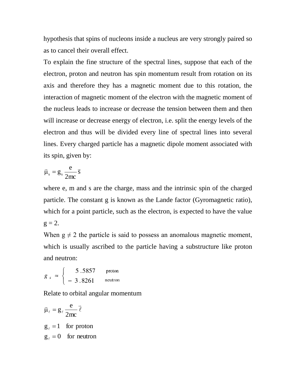hypothesis that spins of nucleons inside a nucleus are very strongly paired so as to cancel their overall effect.

To explain the fine structure of the spectral lines, suppose that each of the electron, proton and neutron has spin momentum result from rotation on its axis and therefore they has a magnetic moment due to this rotation, the interaction of magnetic moment of the electron with the magnetic moment of the nucleus leads to increase or decrease the tension between them and then will increase or decrease energy of electron, i.e. split the energy levels of the electron and thus will be divided every line of spectral lines into several lines. Every charged particle has a magnetic dipole moment associated with its spin, given by:

$$
\vec{\mu}_s = g_s \frac{e}{2mc} \vec{s}
$$

where e, m and s are the charge, mass and the intrinsic spin of the charged particle. The constant g is known as the Lande factor (Gyromagnetic ratio), which for a point particle, such as the electron, is expected to have the value  $g = 2$ .

When  $g \neq 2$  the particle is said to possess an anomalous magnetic moment, which is usually ascribed to the particle having a substructure like proton and neutron:

$$
g_s \approx \begin{cases} 5.5857 & \text{proton} \\ -3.8261 & \text{neutron} \end{cases}
$$

Relate to orbital angular momentum

$$
\vec{\mu}_{\ell} = g_{\ell} \frac{e}{2mc} \vec{\ell}
$$

 $g_{\ell} = 0$  for neutron  $g_{\ell} = 1$  for proton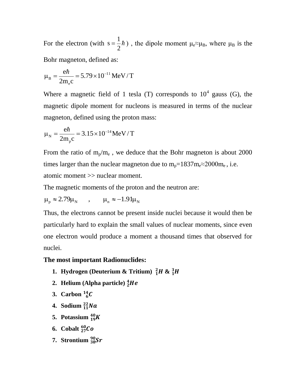For the electron (with  $s = \frac{1}{2}\hbar$ 2 1  $s = \frac{1}{2}\hbar$ ), the dipole moment  $\mu_e \approx \mu_B$ , where  $\mu_B$  is the Bohr magneton, defined as:

$$
\mu_{\rm B} = \frac{e\hbar}{2m_{\rm e}c} = 5.79 \times 10^{-11} \, MeV / T
$$

Where a magnetic field of 1 tesla (T) corresponds to  $10^4$  gauss (G), the magnetic dipole moment for nucleons is measured in terms of the nuclear magneton, defined using the proton mass:

$$
\mu_{\rm N} = \frac{e\hbar}{2m_{\rm p}c} = 3.15 \times 10^{-14} \, \text{MeV} / T
$$

From the ratio of  $m_{p}/m_{e}$ , we deduce that the Bohr magneton is about 2000 times larger than the nuclear magneton due to  $m_p=1837m_e \approx 2000m_e$ , i.e. atomic moment >> nuclear moment.

The magnetic moments of the proton and the neutron are:

$$
\mu_{\rm p} \approx 2.79 \mu_{\rm N} \qquad , \qquad \mu_{\rm n} \approx -1.91 \mu_{\rm N}
$$

Thus, the electrons cannot be present inside nuclei because it would then be particularly hard to explain the small values of nuclear moments, since even one electron would produce a moment a thousand times that observed for nuclei.

### **The most important Radionuclides:**

- **1. Hydrogen (Deuterium & Tritium)**  ${}_{1}^{2}H$  **&**  ${}_{1}^{3}$
- **2. Helium (Alpha particle)**
- **3. Carbon**
- **4. Sodium**  $^{22}_{11}Na$
- **5. Potassium**
- **6.** Cobalt  $^{60}_{27}Co$
- **7. Strontium**